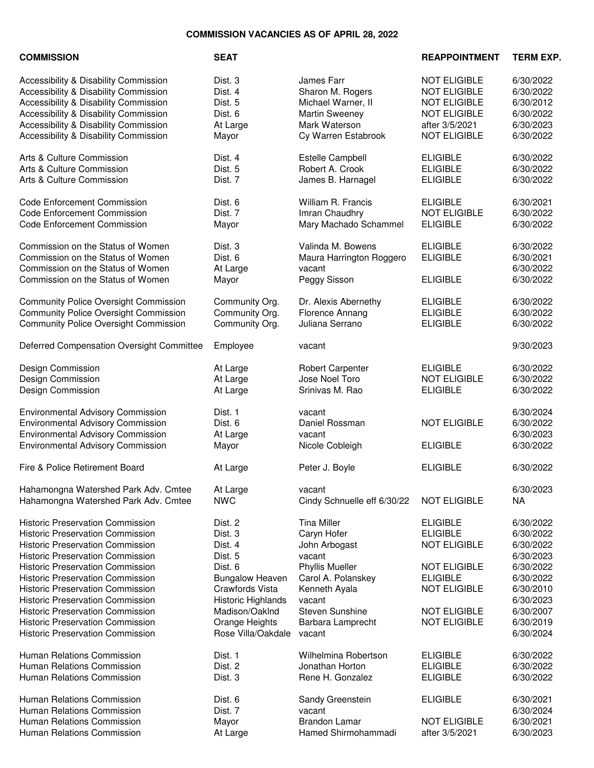## **COMMISSION VACANCIES AS OF APRIL 28, 2022**

| <b>COMMISSION</b>                            | <b>SEAT</b>            |                             | <b>REAPPOINTMENT</b> | <b>TERM EXP.</b> |
|----------------------------------------------|------------------------|-----------------------------|----------------------|------------------|
| Accessibility & Disability Commission        | Dist. 3                | James Farr                  | <b>NOT ELIGIBLE</b>  | 6/30/2022        |
| Accessibility & Disability Commission        | Dist. 4                | Sharon M. Rogers            | <b>NOT ELIGIBLE</b>  | 6/30/2022        |
| Accessibility & Disability Commission        | Dist. 5                | Michael Warner, II          | <b>NOT ELIGIBLE</b>  | 6/30/2012        |
| Accessibility & Disability Commission        | Dist. 6                | <b>Martin Sweeney</b>       | <b>NOT ELIGIBLE</b>  | 6/30/2022        |
| Accessibility & Disability Commission        | At Large               | Mark Waterson               | after 3/5/2021       | 6/30/2023        |
| Accessibility & Disability Commission        | Mayor                  | Cy Warren Estabrook         | <b>NOT ELIGIBLE</b>  | 6/30/2022        |
|                                              |                        |                             |                      |                  |
| Arts & Culture Commission                    | Dist. 4                | Estelle Campbell            | <b>ELIGIBLE</b>      | 6/30/2022        |
| Arts & Culture Commission                    | Dist. 5                | Robert A. Crook             | <b>ELIGIBLE</b>      | 6/30/2022        |
| Arts & Culture Commission                    | Dist. 7                | James B. Harnagel           | <b>ELIGIBLE</b>      | 6/30/2022        |
| <b>Code Enforcement Commission</b>           | Dist. 6                | William R. Francis          | <b>ELIGIBLE</b>      | 6/30/2021        |
| <b>Code Enforcement Commission</b>           | Dist. 7                | Imran Chaudhry              | <b>NOT ELIGIBLE</b>  | 6/30/2022        |
| <b>Code Enforcement Commission</b>           | Mayor                  | Mary Machado Schammel       | <b>ELIGIBLE</b>      | 6/30/2022        |
| Commission on the Status of Women            | Dist. 3                | Valinda M. Bowens           | <b>ELIGIBLE</b>      | 6/30/2022        |
| Commission on the Status of Women            | Dist. 6                | Maura Harrington Roggero    | <b>ELIGIBLE</b>      | 6/30/2021        |
| Commission on the Status of Women            | At Large               | vacant                      |                      | 6/30/2022        |
| Commission on the Status of Women            | Mayor                  |                             | <b>ELIGIBLE</b>      | 6/30/2022        |
|                                              |                        | Peggy Sisson                |                      |                  |
| <b>Community Police Oversight Commission</b> | Community Org.         | Dr. Alexis Abernethy        | <b>ELIGIBLE</b>      | 6/30/2022        |
| <b>Community Police Oversight Commission</b> | Community Org.         | Florence Annang             | <b>ELIGIBLE</b>      | 6/30/2022        |
| <b>Community Police Oversight Commission</b> | Community Org.         | Juliana Serrano             | <b>ELIGIBLE</b>      | 6/30/2022        |
| Deferred Compensation Oversight Committee    | Employee               | vacant                      |                      | 9/30/2023        |
| Design Commission                            | At Large               | Robert Carpenter            | <b>ELIGIBLE</b>      | 6/30/2022        |
| Design Commission                            | At Large               | Jose Noel Toro              | <b>NOT ELIGIBLE</b>  | 6/30/2022        |
| Design Commission                            | At Large               | Srinivas M. Rao             | <b>ELIGIBLE</b>      | 6/30/2022        |
| <b>Environmental Advisory Commission</b>     | Dist. 1                | vacant                      |                      | 6/30/2024        |
| <b>Environmental Advisory Commission</b>     | Dist. 6                | Daniel Rossman              | <b>NOT ELIGIBLE</b>  | 6/30/2022        |
| <b>Environmental Advisory Commission</b>     |                        |                             |                      | 6/30/2023        |
| <b>Environmental Advisory Commission</b>     | At Large               | vacant                      | <b>ELIGIBLE</b>      |                  |
|                                              | Mayor                  | Nicole Cobleigh             |                      | 6/30/2022        |
| Fire & Police Retirement Board               | At Large               | Peter J. Boyle              | <b>ELIGIBLE</b>      | 6/30/2022        |
| Hahamongna Watershed Park Adv. Cmtee         | At Large               | vacant                      |                      | 6/30/2023        |
| Hahamongna Watershed Park Adv. Cmtee         | <b>NWC</b>             | Cindy Schnuelle eff 6/30/22 | <b>NOT ELIGIBLE</b>  | NA               |
| <b>Historic Preservation Commission</b>      | Dist. 2                | <b>Tina Miller</b>          | <b>ELIGIBLE</b>      | 6/30/2022        |
| <b>Historic Preservation Commission</b>      | Dist. 3                | Caryn Hofer                 | <b>ELIGIBLE</b>      | 6/30/2022        |
| <b>Historic Preservation Commission</b>      | Dist. 4                | John Arbogast               | <b>NOT ELIGIBLE</b>  | 6/30/2022        |
| <b>Historic Preservation Commission</b>      | Dist. 5                | vacant                      |                      | 6/30/2023        |
| <b>Historic Preservation Commission</b>      | Dist. 6                | Phyllis Mueller             | <b>NOT ELIGIBLE</b>  | 6/30/2022        |
| <b>Historic Preservation Commission</b>      | <b>Bungalow Heaven</b> | Carol A. Polanskey          | <b>ELIGIBLE</b>      | 6/30/2022        |
| <b>Historic Preservation Commission</b>      | Crawfords Vista        | Kenneth Ayala               | <b>NOT ELIGIBLE</b>  | 6/30/2010        |
| <b>Historic Preservation Commission</b>      | Historic Highlands     | vacant                      |                      | 6/30/2023        |
| <b>Historic Preservation Commission</b>      | Madison/OakInd         | <b>Steven Sunshine</b>      | <b>NOT ELIGIBLE</b>  | 6/30/2007        |
| <b>Historic Preservation Commission</b>      | Orange Heights         | Barbara Lamprecht           | <b>NOT ELIGIBLE</b>  | 6/30/2019        |
| <b>Historic Preservation Commission</b>      | Rose Villa/Oakdale     | vacant                      |                      | 6/30/2024        |
| Human Relations Commission                   | Dist. 1                | Wilhelmina Robertson        | <b>ELIGIBLE</b>      | 6/30/2022        |
| Human Relations Commission                   | Dist. 2                | Jonathan Horton             | <b>ELIGIBLE</b>      | 6/30/2022        |
| Human Relations Commission                   | Dist. 3                | Rene H. Gonzalez            | <b>ELIGIBLE</b>      | 6/30/2022        |
|                                              |                        |                             |                      |                  |
| Human Relations Commission                   | Dist. 6                | Sandy Greenstein            | <b>ELIGIBLE</b>      | 6/30/2021        |
| Human Relations Commission                   | Dist. 7                | vacant                      |                      | 6/30/2024        |
| Human Relations Commission                   | Mayor                  | <b>Brandon Lamar</b>        | <b>NOT ELIGIBLE</b>  | 6/30/2021        |
| Human Relations Commission                   | At Large               | Hamed Shirmohammadi         | after 3/5/2021       | 6/30/2023        |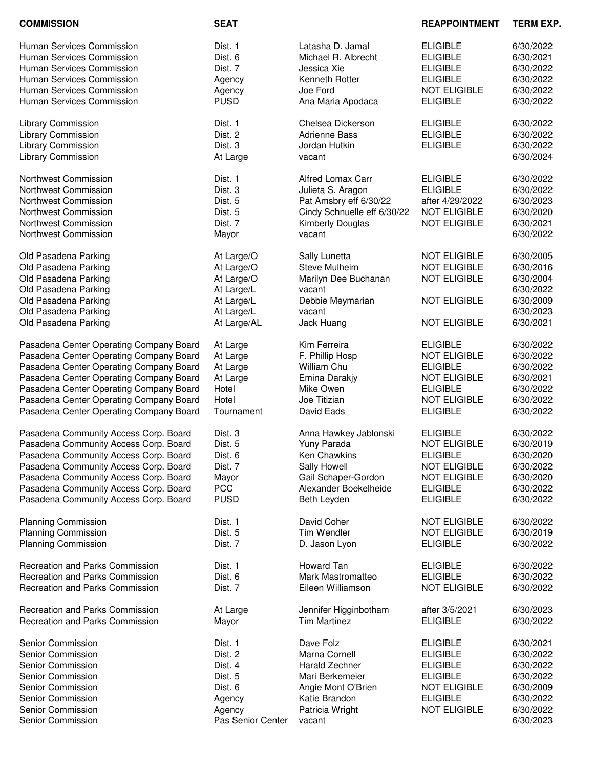| <b>COMMISSION</b>                       | <b>SEAT</b>       |                             | <b>REAPPOINTMENT</b> | <b>TERM EXP.</b> |
|-----------------------------------------|-------------------|-----------------------------|----------------------|------------------|
| Human Services Commission               | Dist. 1           | Latasha D. Jamal            | <b>ELIGIBLE</b>      | 6/30/2022        |
| Human Services Commission               | Dist. 6           | Michael R. Albrecht         | <b>ELIGIBLE</b>      | 6/30/2021        |
| <b>Human Services Commission</b>        | Dist. 7           | Jessica Xie                 | <b>ELIGIBLE</b>      | 6/30/2022        |
| Human Services Commission               | Agency            | Kenneth Rotter              | <b>ELIGIBLE</b>      | 6/30/2022        |
| Human Services Commission               |                   | Joe Ford                    | <b>NOT ELIGIBLE</b>  |                  |
|                                         | Agency            |                             |                      | 6/30/2022        |
| Human Services Commission               | <b>PUSD</b>       | Ana Maria Apodaca           | <b>ELIGIBLE</b>      | 6/30/2022        |
| Library Commission                      | Dist. 1           | Chelsea Dickerson           | <b>ELIGIBLE</b>      | 6/30/2022        |
| <b>Library Commission</b>               | Dist. 2           | <b>Adrienne Bass</b>        | <b>ELIGIBLE</b>      | 6/30/2022        |
| Library Commission                      | Dist. 3           | Jordan Hutkin               | <b>ELIGIBLE</b>      | 6/30/2022        |
| Library Commission                      | At Large          | vacant                      |                      | 6/30/2024        |
| Northwest Commission                    | Dist. 1           | <b>Alfred Lomax Carr</b>    | <b>ELIGIBLE</b>      | 6/30/2022        |
| Northwest Commission                    | Dist. 3           | Julieta S. Aragon           | <b>ELIGIBLE</b>      | 6/30/2022        |
| Northwest Commission                    | Dist. 5           | Pat Amsbry eff 6/30/22      | after 4/29/2022      | 6/30/2023        |
| <b>Northwest Commission</b>             | Dist. 5           | Cindy Schnuelle eff 6/30/22 | <b>NOT ELIGIBLE</b>  | 6/30/2020        |
| <b>Northwest Commission</b>             | Dist. 7           | Kimberly Douglas            | <b>NOT ELIGIBLE</b>  | 6/30/2021        |
| <b>Northwest Commission</b>             | Mayor             | vacant                      |                      | 6/30/2022        |
| Old Pasadena Parking                    | At Large/O        | Sally Lunetta               | <b>NOT ELIGIBLE</b>  | 6/30/2005        |
| Old Pasadena Parking                    | At Large/O        | <b>Steve Mulheim</b>        | <b>NOT ELIGIBLE</b>  | 6/30/2016        |
| Old Pasadena Parking                    | At Large/O        | Marilyn Dee Buchanan        | <b>NOT ELIGIBLE</b>  | 6/30/2004        |
| Old Pasadena Parking                    | At Large/L        | vacant                      |                      | 6/30/2022        |
| Old Pasadena Parking                    | At Large/L        | Debbie Meymarian            | <b>NOT ELIGIBLE</b>  | 6/30/2009        |
| Old Pasadena Parking                    | At Large/L        | vacant                      |                      | 6/30/2023        |
| Old Pasadena Parking                    | At Large/AL       | Jack Huang                  | <b>NOT ELIGIBLE</b>  | 6/30/2021        |
| Pasadena Center Operating Company Board | At Large          | Kim Ferreira                | <b>ELIGIBLE</b>      | 6/30/2022        |
| Pasadena Center Operating Company Board | At Large          | F. Phillip Hosp             | <b>NOT ELIGIBLE</b>  | 6/30/2022        |
| Pasadena Center Operating Company Board | At Large          | William Chu                 | <b>ELIGIBLE</b>      | 6/30/2022        |
| Pasadena Center Operating Company Board | At Large          | Emina Darakjy               | <b>NOT ELIGIBLE</b>  | 6/30/2021        |
| Pasadena Center Operating Company Board | Hotel             | Mike Owen                   | <b>ELIGIBLE</b>      | 6/30/2022        |
| Pasadena Center Operating Company Board | Hotel             | Joe Titizian                | <b>NOT ELIGIBLE</b>  | 6/30/2022        |
| Pasadena Center Operating Company Board | Tournament        | David Eads                  | <b>ELIGIBLE</b>      | 6/30/2022        |
| Pasadena Community Access Corp. Board   | Dist. 3           | Anna Hawkey Jablonski       | <b>ELIGIBLE</b>      | 6/30/2022        |
| Pasadena Community Access Corp. Board   | Dist. 5           | Yuny Parada                 | <b>NOT ELIGIBLE</b>  | 6/30/2019        |
| Pasadena Community Access Corp. Board   | Dist. 6           | Ken Chawkins                | <b>ELIGIBLE</b>      | 6/30/2020        |
| Pasadena Community Access Corp. Board   | Dist. 7           | Sally Howell                | <b>NOT ELIGIBLE</b>  | 6/30/2022        |
| Pasadena Community Access Corp. Board   | Mayor             | Gail Schaper-Gordon         | <b>NOT ELIGIBLE</b>  | 6/30/2020        |
| Pasadena Community Access Corp. Board   | <b>PCC</b>        | Alexander Boekelheide       | <b>ELIGIBLE</b>      | 6/30/2022        |
| Pasadena Community Access Corp. Board   | <b>PUSD</b>       | Beth Leyden                 | <b>ELIGIBLE</b>      | 6/30/2022        |
| <b>Planning Commission</b>              | Dist. 1           | David Coher                 | <b>NOT ELIGIBLE</b>  | 6/30/2022        |
| <b>Planning Commission</b>              | Dist. 5           | Tim Wendler                 | <b>NOT ELIGIBLE</b>  | 6/30/2019        |
| <b>Planning Commission</b>              | Dist. 7           | D. Jason Lyon               | <b>ELIGIBLE</b>      | 6/30/2022        |
| Recreation and Parks Commission         | Dist. 1           | Howard Tan                  | <b>ELIGIBLE</b>      | 6/30/2022        |
|                                         |                   |                             |                      |                  |
| Recreation and Parks Commission         | Dist. 6           | Mark Mastromatteo           | <b>ELIGIBLE</b>      | 6/30/2022        |
| Recreation and Parks Commission         | Dist. 7           | Eileen Williamson           | <b>NOT ELIGIBLE</b>  | 6/30/2022        |
| Recreation and Parks Commission         | At Large          | Jennifer Higginbotham       | after 3/5/2021       | 6/30/2023        |
| Recreation and Parks Commission         | Mayor             | <b>Tim Martinez</b>         | <b>ELIGIBLE</b>      | 6/30/2022        |
| Senior Commission                       | Dist. 1           | Dave Folz                   | <b>ELIGIBLE</b>      | 6/30/2021        |
| Senior Commission                       | Dist. 2           | Marna Cornell               | <b>ELIGIBLE</b>      | 6/30/2022        |
| Senior Commission                       | Dist. 4           | Harald Zechner              | <b>ELIGIBLE</b>      | 6/30/2022        |
| Senior Commission                       | Dist. 5           | Mari Berkemeier             | <b>ELIGIBLE</b>      | 6/30/2022        |
| Senior Commission                       | Dist. 6           | Angie Mont O'Brien          | <b>NOT ELIGIBLE</b>  | 6/30/2009        |
| Senior Commission                       | Agency            | Katie Brandon               | <b>ELIGIBLE</b>      | 6/30/2022        |
| Senior Commission                       | Agency            | Patricia Wright             | <b>NOT ELIGIBLE</b>  | 6/30/2022        |
| Senior Commission                       | Pas Senior Center | vacant                      |                      | 6/30/2023        |